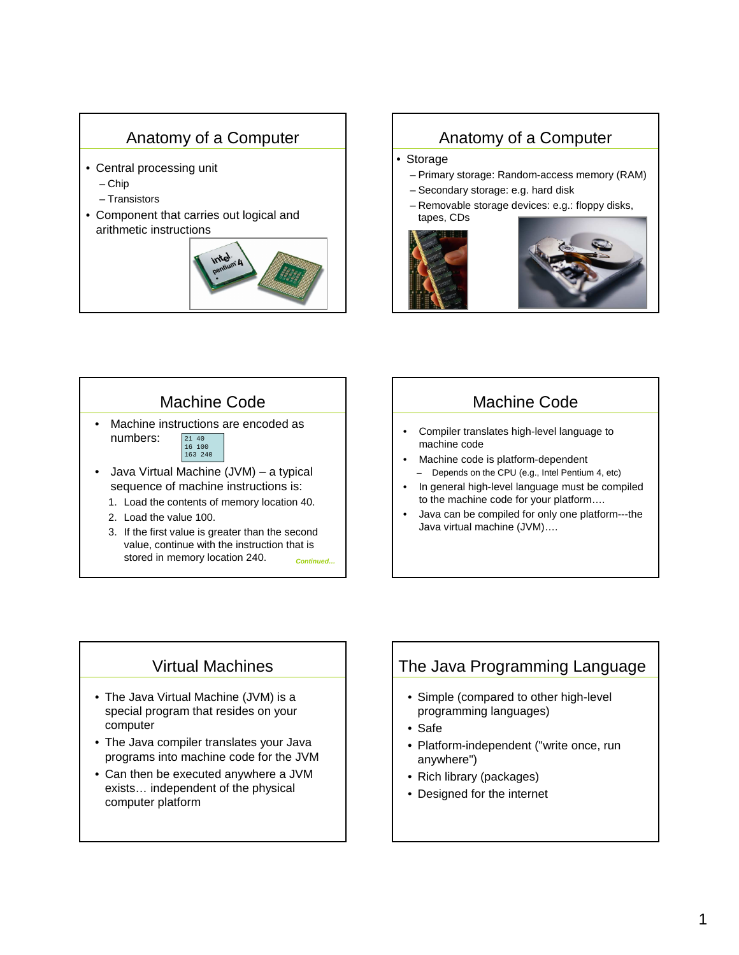# Anatomy of a Computer

- Central processing unit
	- Chip
	- Transistors
- Component that carries out logical and arithmetic instructions



### Anatomy of a Computer

#### • Storage

- Primary storage: Random-access memory (RAM)
- Secondary storage: e.g. hard disk
- Removable storage devices: e.g.: floppy disks, tapes, CDs





# Machine Code

- Machine instructions are encoded as numbers: 21 40 16 100 163 240
- Java Virtual Machine (JVM) a typical sequence of machine instructions is:
	- 1. Load the contents of memory location 40.
	- 2. Load the value 100.
	- 3. If the first value is greater than the second value, continue with the instruction that is stored in memory location 240. **Continued…**

#### Machine Code

- Compiler translates high-level language to machine code
- Machine code is platform-dependent – Depends on the CPU (e.g., Intel Pentium 4, etc)
- In general high-level language must be compiled to the machine code for your platform….
- Java can be compiled for only one platform---the Java virtual machine (JVM)….

## Virtual Machines

- The Java Virtual Machine (JVM) is a special program that resides on your computer
- The Java compiler translates your Java programs into machine code for the JVM
- Can then be executed anywhere a JVM exists… independent of the physical computer platform

## The Java Programming Language

- Simple (compared to other high-level programming languages)
- Safe
- Platform-independent ("write once, run anywhere")
- Rich library (packages)
- Designed for the internet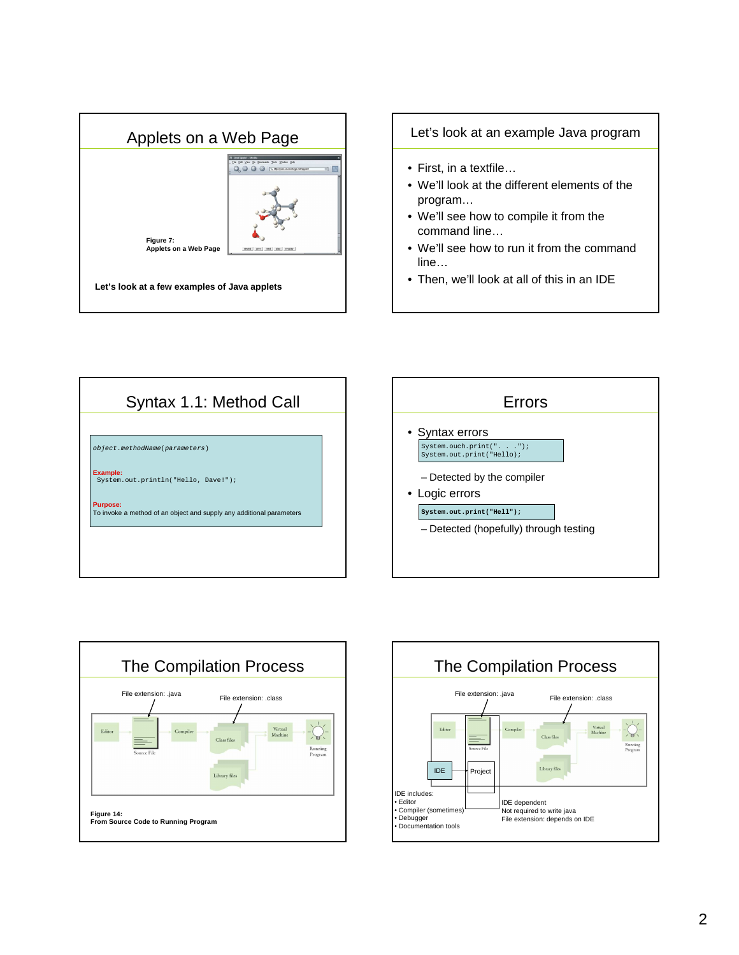

Let's look at an example Java program

- First, in a textfile…
- We'll look at the different elements of the program…
- We'll see how to compile it from the command line…
- We'll see how to run it from the command line…
- Then, we'll look at all of this in an IDE